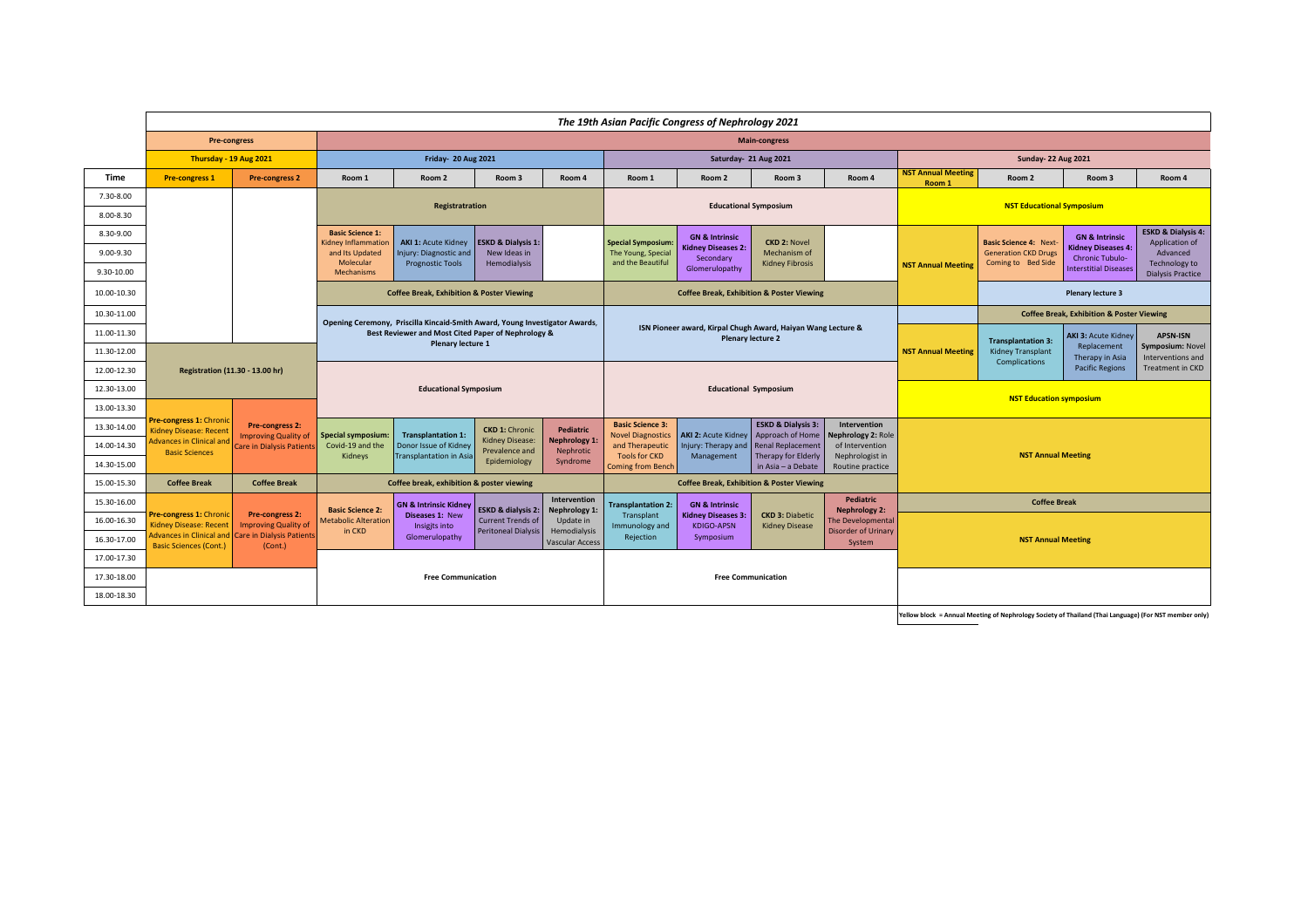|             |                                                                  |                                                       |                                                |                                                                             |                                          |                                        |                                                     | The 19th Asian Pacific Congress of Nephrology 2021           |                                                   |                                          |                                     |                                                                                  |                                                                                                                                                                                                                                                                                                                                                                                                                                                                            |                               |  |
|-------------|------------------------------------------------------------------|-------------------------------------------------------|------------------------------------------------|-----------------------------------------------------------------------------|------------------------------------------|----------------------------------------|-----------------------------------------------------|--------------------------------------------------------------|---------------------------------------------------|------------------------------------------|-------------------------------------|----------------------------------------------------------------------------------|----------------------------------------------------------------------------------------------------------------------------------------------------------------------------------------------------------------------------------------------------------------------------------------------------------------------------------------------------------------------------------------------------------------------------------------------------------------------------|-------------------------------|--|
|             | <b>Pre-congress</b>                                              |                                                       |                                                |                                                                             |                                          |                                        |                                                     |                                                              | <b>Main-congress</b>                              |                                          |                                     |                                                                                  |                                                                                                                                                                                                                                                                                                                                                                                                                                                                            |                               |  |
|             | Thursday - 19 Aug 2021                                           |                                                       | Friday- 20 Aug 2021                            |                                                                             |                                          | Saturday- 21 Aug 2021                  |                                                     |                                                              |                                                   |                                          | <b>Sunday-22 Aug 2021</b>           |                                                                                  |                                                                                                                                                                                                                                                                                                                                                                                                                                                                            |                               |  |
| Time        | <b>Pre-congress 1</b>                                            | <b>Pre-congress 2</b>                                 | Room 1                                         | Room 2                                                                      | Room 3                                   | Room 4                                 | Room 1                                              | Room 2                                                       | Room 3                                            | Room 4                                   | <b>NST Annual Meeting</b><br>Room 1 | Room 2                                                                           | Room 3                                                                                                                                                                                                                                                                                                                                                                                                                                                                     | Room 4                        |  |
| 7.30-8.00   |                                                                  |                                                       |                                                | Registratration                                                             |                                          |                                        |                                                     |                                                              | <b>Educational Symposium</b>                      |                                          |                                     |                                                                                  |                                                                                                                                                                                                                                                                                                                                                                                                                                                                            |                               |  |
| 8.00-8.30   |                                                                  |                                                       |                                                |                                                                             |                                          |                                        |                                                     |                                                              |                                                   |                                          |                                     |                                                                                  |                                                                                                                                                                                                                                                                                                                                                                                                                                                                            |                               |  |
| 8.30-9.00   |                                                                  |                                                       | <b>Basic Science 1:</b><br>Kidney Inflammation | <b>AKI 1: Acute Kidney</b>                                                  | <b>ESKD &amp; Dialysis 1:</b>            |                                        | <b>Special Symposium:</b>                           | <b>GN &amp; Intrinsic</b>                                    | <b>CKD 2: Novel</b>                               |                                          |                                     |                                                                                  | <b>GN &amp; Intrinsic</b>                                                                                                                                                                                                                                                                                                                                                                                                                                                  | <b>ESKD &amp; Dialysis 4:</b> |  |
| 9.00-9.30   |                                                                  |                                                       | and Its Updated<br>Molecular                   | Injury: Diagnostic and                                                      | New Ideas in                             |                                        | The Young, Special<br>and the Beautiful             | <b>Kidney Diseases 2:</b><br>Secondary                       | Mechanism of                                      |                                          |                                     | <b>Generation CKD Drugs</b>                                                      | <b>Chronic Tubulo-</b>                                                                                                                                                                                                                                                                                                                                                                                                                                                     | Advanced                      |  |
| 9.30-10.00  |                                                                  |                                                       | Mechanisms                                     | <b>Prognostic Tools</b>                                                     | Hemodialysis                             |                                        |                                                     | Glomerulopathy                                               | <b>Kidney Fibrosis</b>                            |                                          | <b>NST Annual Meeting</b>           |                                                                                  | <b>Interstitial Diseases</b>                                                                                                                                                                                                                                                                                                                                                                                                                                               | <b>Dialysis Practice</b>      |  |
| 10.00-10.30 |                                                                  |                                                       |                                                | <b>Coffee Break, Exhibition &amp; Poster Viewing</b>                        |                                          |                                        |                                                     | <b>Coffee Break, Exhibition &amp; Poster Viewing</b>         |                                                   |                                          |                                     | <b>Plenary lecture 3</b><br><b>Coffee Break, Exhibition &amp; Poster Viewing</b> |                                                                                                                                                                                                                                                                                                                                                                                                                                                                            |                               |  |
| 10.30-11.00 |                                                                  |                                                       |                                                | Opening Ceremony, Priscilla Kincaid-Smith Award, Young Investigator Awards, |                                          |                                        |                                                     |                                                              |                                                   |                                          |                                     |                                                                                  | <b>NST Educational Symposium</b><br>Application of<br><b>Basic Science 4: Next-</b><br><b>Kidney Diseases 4:</b><br>Coming to Bed Side<br>Technology to<br><b>AKI 3: Acute Kidney</b><br><b>APSN-ISN</b><br><b>Transplantation 3:</b><br>Replacement<br>Symposium: Novel<br>Kidney Transplant<br>Therapy in Asia<br>Interventions and<br>Complications<br><b>Pacific Regions</b><br><b>Treatment in CKD</b><br><b>NST Education symposium</b><br><b>NST Annual Meeting</b> |                               |  |
| 11.00-11.30 |                                                                  |                                                       |                                                | Best Reviewer and Most Cited Paper of Nephrology &                          |                                          |                                        |                                                     | ISN Pioneer award, Kirpal Chugh Award, Haiyan Wang Lecture & | <b>Plenary lecture 2</b>                          |                                          |                                     |                                                                                  |                                                                                                                                                                                                                                                                                                                                                                                                                                                                            |                               |  |
| 11.30-12.00 |                                                                  |                                                       |                                                | Plenary lecture 1                                                           |                                          |                                        |                                                     |                                                              |                                                   |                                          | <b>NST Annual Meeting</b>           |                                                                                  |                                                                                                                                                                                                                                                                                                                                                                                                                                                                            |                               |  |
| 12.00-12.30 | Registration (11.30 - 13.00 hr)                                  |                                                       |                                                |                                                                             |                                          |                                        |                                                     |                                                              |                                                   |                                          |                                     |                                                                                  |                                                                                                                                                                                                                                                                                                                                                                                                                                                                            |                               |  |
| 12.30-13.00 |                                                                  |                                                       |                                                | <b>Educational Symposium</b>                                                |                                          |                                        |                                                     |                                                              | <b>Educational Symposium</b>                      |                                          |                                     |                                                                                  |                                                                                                                                                                                                                                                                                                                                                                                                                                                                            |                               |  |
| 13.00-13.30 |                                                                  |                                                       |                                                |                                                                             |                                          |                                        |                                                     |                                                              |                                                   |                                          |                                     |                                                                                  |                                                                                                                                                                                                                                                                                                                                                                                                                                                                            |                               |  |
| 13.30-14.00 | re-congress 1: Chronic<br>Kidney Disease: Recent                 | Pre-congress 2:<br><b>Improving Quality of</b>        | <b>Special symposium:</b>                      | <b>Transplantation 1:</b>                                                   | <b>CKD 1: Chronic</b>                    | <b>Pediatric</b>                       | <b>Basic Science 3:</b><br><b>Novel Diagnostics</b> | <b>AKI 2: Acute Kidney</b>                                   | <b>ESKD &amp; Dialysis 3:</b><br>Approach of Home | Intervention<br>Nephrology 2: Role       |                                     |                                                                                  |                                                                                                                                                                                                                                                                                                                                                                                                                                                                            |                               |  |
| 14.00-14.30 | dvances in Clinical and<br><b>Basic Sciences</b>                 | Care in Dialysis Patient:                             | Covid-19 and the                               | Donor Issue of Kidney                                                       | <b>Kidney Disease:</b><br>Prevalence and | <b>Nephrology 1:</b><br>Nephrotic      | and Therapeutic                                     | Injury: Therapy and                                          | <b>Renal Replacement</b>                          | of Intervention                          |                                     |                                                                                  |                                                                                                                                                                                                                                                                                                                                                                                                                                                                            |                               |  |
| 14.30-15.00 |                                                                  |                                                       | Kidneys                                        | <b>Transplantation in Asia</b>                                              | Epidemiology                             | Syndrome                               | <b>Tools for CKD</b><br><b>Coming from Bench</b>    | Management                                                   | <b>Therapy for Elderly</b><br>in Asia - a Debate  | Nephrologist in<br>Routine practice      |                                     |                                                                                  |                                                                                                                                                                                                                                                                                                                                                                                                                                                                            |                               |  |
| 15.00-15.30 | <b>Coffee Break</b>                                              | <b>Coffee Break</b>                                   |                                                | Coffee break, exhibition & poster viewing                                   |                                          |                                        |                                                     | <b>Coffee Break, Exhibition &amp; Poster Viewing</b>         |                                                   |                                          |                                     |                                                                                  |                                                                                                                                                                                                                                                                                                                                                                                                                                                                            |                               |  |
| 15.30-16.00 |                                                                  |                                                       | <b>Basic Science 2:</b>                        | <b>GN &amp; Intrinsic Kidney</b>                                            | <b>ESKD &amp; dialysis 2:</b>            | Intervention<br>Nephrology 1:          | <b>Transplantation 2:</b>                           | <b>GN &amp; Intrinsic</b>                                    |                                                   | <b>Pediatric</b><br><b>Nephrology 2:</b> |                                     | <b>Coffee Break</b>                                                              |                                                                                                                                                                                                                                                                                                                                                                                                                                                                            |                               |  |
| 16.00-16.30 | re-congress 1: Chronic<br><b>Kidney Disease: Recent</b>          | <b>Pre-congress 2:</b><br><b>Improving Quality of</b> | <b>Metabolic Alteration</b>                    | <b>Diseases 1: New</b><br>Insigits into                                     | <b>Current Trends of</b>                 | Update in                              | Transplant<br>Immunology and                        | <b>Kidney Diseases 3:</b><br><b>KDIGO-APSN</b>               | <b>CKD 3: Diabetic</b><br><b>Kidney Disease</b>   | The Developmental                        |                                     |                                                                                  |                                                                                                                                                                                                                                                                                                                                                                                                                                                                            |                               |  |
| 16.30-17.00 | <b>Advances in Clinical and</b><br><b>Basic Sciences (Cont.)</b> | <b>Care in Dialysis Patients</b><br>(Cont.)           | in CKD                                         | Glomerulopathy                                                              | <b>Peritoneal Dialysis</b>               | Hemodialysis<br><b>Vascular Access</b> | Rejection                                           | Symposium                                                    |                                                   | <b>Disorder of Urinary</b><br>System     |                                     | <b>NST Annual Meeting</b>                                                        |                                                                                                                                                                                                                                                                                                                                                                                                                                                                            |                               |  |
| 17.00-17.30 |                                                                  |                                                       |                                                |                                                                             |                                          |                                        |                                                     |                                                              |                                                   |                                          |                                     |                                                                                  |                                                                                                                                                                                                                                                                                                                                                                                                                                                                            |                               |  |
| 17.30-18.00 |                                                                  |                                                       |                                                | <b>Free Communication</b>                                                   |                                          |                                        |                                                     |                                                              | <b>Free Communication</b>                         |                                          |                                     |                                                                                  |                                                                                                                                                                                                                                                                                                                                                                                                                                                                            |                               |  |
| 18.00-18.30 |                                                                  |                                                       |                                                |                                                                             |                                          |                                        |                                                     |                                                              |                                                   |                                          |                                     |                                                                                  |                                                                                                                                                                                                                                                                                                                                                                                                                                                                            |                               |  |

**Yellow block** = Annual Meeting of Nephrology Society of Thailand (Thai Language) (For NST member only)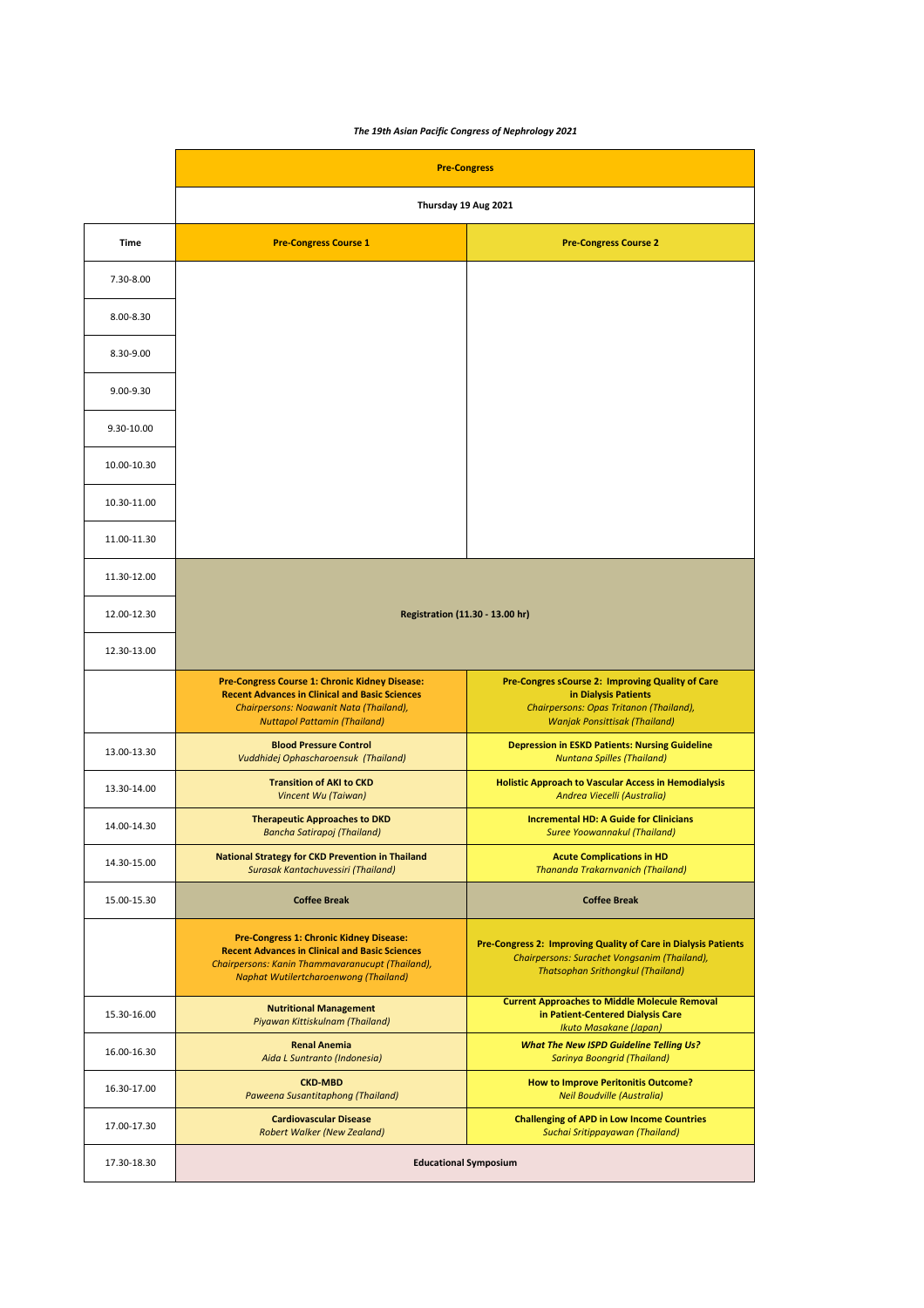## *The 19th Asian Pacific Congress of Nephrology 2021*

|             | <b>Pre-Congress</b>                                                                                                                                                                                  |                                                                                                                                                             |
|-------------|------------------------------------------------------------------------------------------------------------------------------------------------------------------------------------------------------|-------------------------------------------------------------------------------------------------------------------------------------------------------------|
|             | Thursday 19 Aug 2021                                                                                                                                                                                 |                                                                                                                                                             |
| <b>Time</b> | <b>Pre-Congress Course 1</b>                                                                                                                                                                         | <b>Pre-Congress Course 2</b>                                                                                                                                |
| 7.30-8.00   |                                                                                                                                                                                                      |                                                                                                                                                             |
| 8.00-8.30   |                                                                                                                                                                                                      |                                                                                                                                                             |
| 8.30-9.00   |                                                                                                                                                                                                      |                                                                                                                                                             |
| 9.00-9.30   |                                                                                                                                                                                                      |                                                                                                                                                             |
| 9.30-10.00  |                                                                                                                                                                                                      |                                                                                                                                                             |
| 10.00-10.30 |                                                                                                                                                                                                      |                                                                                                                                                             |
| 10.30-11.00 |                                                                                                                                                                                                      |                                                                                                                                                             |
| 11.00-11.30 |                                                                                                                                                                                                      |                                                                                                                                                             |
| 11.30-12.00 |                                                                                                                                                                                                      |                                                                                                                                                             |
| 12.00-12.30 | Registration (11.30 - 13.00 hr)                                                                                                                                                                      |                                                                                                                                                             |
| 12.30-13.00 |                                                                                                                                                                                                      |                                                                                                                                                             |
|             | Pre-Congress Course 1: Chronic Kidney Disease:<br><b>Recent Advances in Clinical and Basic Sciences</b><br>Chairpersons: Noawanit Nata (Thailand),<br><b>Nuttapol Pattamin (Thailand)</b>            | Pre-Congres sCourse 2: Improving Quality of Care<br>in Dialysis Patients<br>Chairpersons: Opas Tritanon (Thailand),<br><b>Wanjak Ponsittisak (Thailand)</b> |
| 13.00-13.30 | <b>Blood Pressure Control</b><br>Vuddhidej Ophascharoensuk (Thailand)                                                                                                                                | <b>Depression in ESKD Patients: Nursing Guideline</b><br><b>Nuntana Spilles (Thailand)</b>                                                                  |
| 13.30-14.00 | <b>Transition of AKI to CKD</b><br>Vincent Wu (Taiwan)                                                                                                                                               | <b>Holistic Approach to Vascular Access in Hemodialysis</b><br>Andrea Viecelli (Australia)                                                                  |
| 14.00-14.30 | <b>Therapeutic Approaches to DKD</b><br><b>Bancha Satirapoj (Thailand)</b>                                                                                                                           | <b>Incremental HD: A Guide for Clinicians</b><br><b>Suree Yoowannakul (Thailand)</b>                                                                        |
| 14.30-15.00 | <b>National Strategy for CKD Prevention in Thailand</b><br>Surasak Kantachuvessiri (Thailand)                                                                                                        | <b>Acute Complications in HD</b><br><b>Thananda Trakarnvanich (Thailand)</b>                                                                                |
| 15.00-15.30 | <b>Coffee Break</b>                                                                                                                                                                                  | <b>Coffee Break</b>                                                                                                                                         |
|             | Pre-Congress 1: Chronic Kidney Disease:<br><b>Recent Advances in Clinical and Basic Sciences</b><br>Chairpersons: Kanin Thammavaranucupt (Thailand),<br><b>Naphat Wutilertcharoenwong (Thailand)</b> | Pre-Congress 2: Improving Quality of Care in Dialysis Patients<br>Chairpersons: Surachet Vongsanim (Thailand),<br><b>Thatsophan Srithongkul (Thailand)</b>  |
| 15.30-16.00 | <b>Nutritional Management</b><br>Piyawan Kittiskulnam (Thailand)                                                                                                                                     | <b>Current Approaches to Middle Molecule Removal</b><br>in Patient-Centered Dialysis Care<br>Ikuto Masakane (Japan)                                         |
| 16.00-16.30 | <b>Renal Anemia</b><br>Aida L Suntranto (Indonesia)                                                                                                                                                  | <b>What The New ISPD Guideline Telling Us?</b><br><b>Sarinya Boongrid (Thailand)</b>                                                                        |
| 16.30-17.00 | <b>CKD-MBD</b><br>Paweena Susantitaphong (Thailand)                                                                                                                                                  | <b>How to Improve Peritonitis Outcome?</b><br><b>Neil Boudville (Australia)</b>                                                                             |
| 17.00-17.30 | <b>Cardiovascular Disease</b><br><b>Robert Walker (New Zealand)</b>                                                                                                                                  | <b>Challenging of APD in Low Income Countries</b><br>Suchai Sritippayawan (Thailand)                                                                        |
| 17.30-18.30 | <b>Educational Symposium</b>                                                                                                                                                                         |                                                                                                                                                             |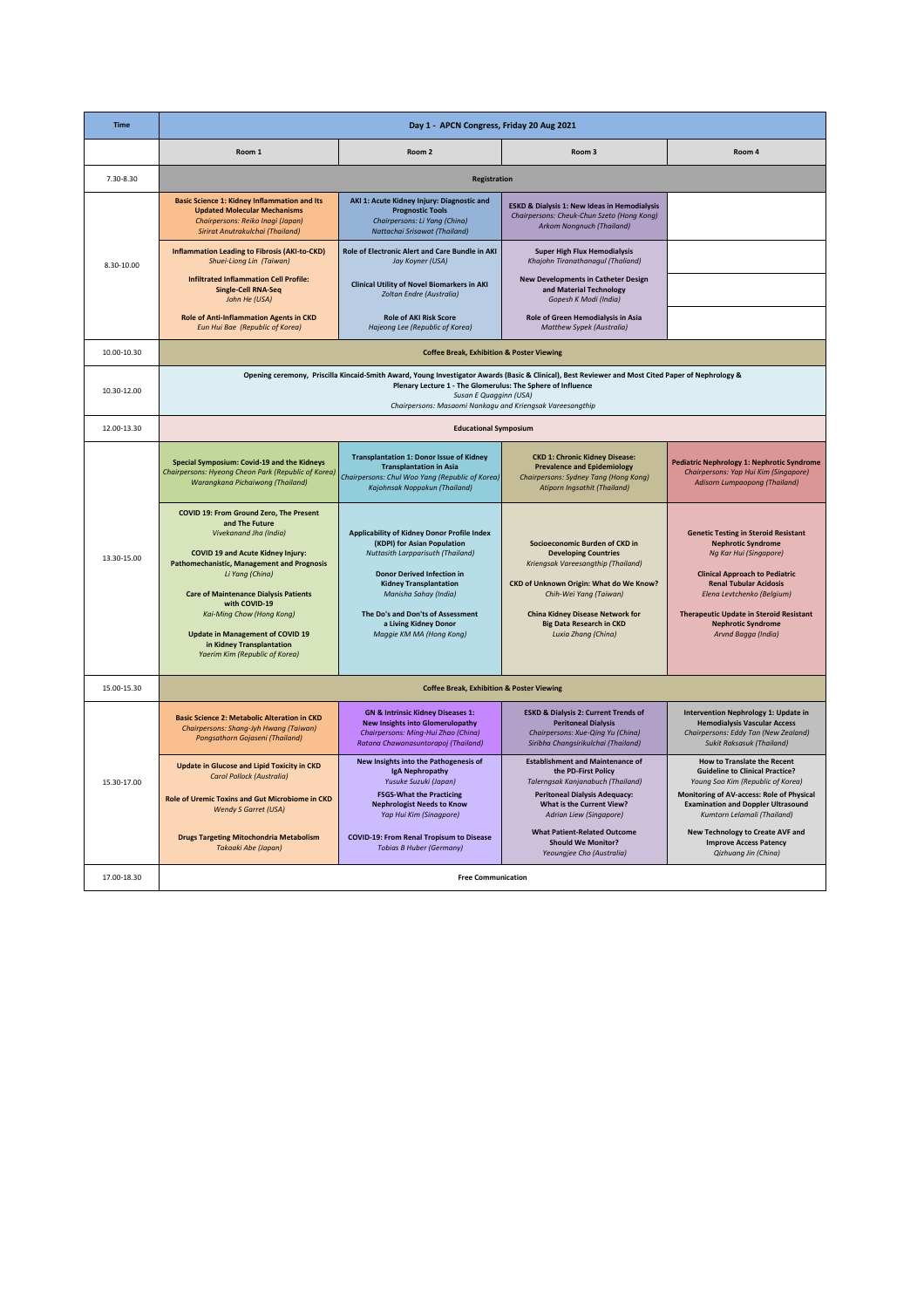| <b>Time</b> |                                                                                                                                                                                                                                                                                                                                                                                                                 | Day 1 - APCN Congress, Friday 20 Aug 2021                                                                                                                                                                                                                                                                       |                                                                                                                                                                                                                                                                               |                                                                                                                                                                                                                                                                                                                  |
|-------------|-----------------------------------------------------------------------------------------------------------------------------------------------------------------------------------------------------------------------------------------------------------------------------------------------------------------------------------------------------------------------------------------------------------------|-----------------------------------------------------------------------------------------------------------------------------------------------------------------------------------------------------------------------------------------------------------------------------------------------------------------|-------------------------------------------------------------------------------------------------------------------------------------------------------------------------------------------------------------------------------------------------------------------------------|------------------------------------------------------------------------------------------------------------------------------------------------------------------------------------------------------------------------------------------------------------------------------------------------------------------|
|             | Room 1                                                                                                                                                                                                                                                                                                                                                                                                          | Room <sub>2</sub>                                                                                                                                                                                                                                                                                               | Room <sub>3</sub>                                                                                                                                                                                                                                                             | Room 4                                                                                                                                                                                                                                                                                                           |
| 7.30-8.30   |                                                                                                                                                                                                                                                                                                                                                                                                                 | Registration                                                                                                                                                                                                                                                                                                    |                                                                                                                                                                                                                                                                               |                                                                                                                                                                                                                                                                                                                  |
|             | <b>Basic Science 1: Kidney Inflammation and Its</b><br><b>Updated Molecular Mechanisms</b><br>Chairpersons: Reiko Inagi (Japan)<br>Sirirat Anutrakulchai (Thailand)                                                                                                                                                                                                                                             | AKI 1: Acute Kidney Injury: Diagnostic and<br><b>Prognostic Tools</b><br>Chairpersons: Li Yang (China)<br>Nattachai Srisawat (Thailand)                                                                                                                                                                         | ESKD & Dialysis 1: New Ideas in Hemodialysis<br>Chairpersons: Cheuk-Chun Szeto (Hong Kong)<br>Arkom Nongnuch (Thailand)                                                                                                                                                       |                                                                                                                                                                                                                                                                                                                  |
| 8.30-10.00  | <b>Inflammation Leading to Fibrosis (AKI-to-CKD)</b><br>Shuei-Liong Lin (Taiwan)                                                                                                                                                                                                                                                                                                                                | Role of Electronic Alert and Care Bundle in AKI<br>Jay Koyner (USA)                                                                                                                                                                                                                                             | <b>Super High Flux Hemodialysis</b><br>Khajohn Tiranathanagul (Thaliand)                                                                                                                                                                                                      |                                                                                                                                                                                                                                                                                                                  |
|             | <b>Infiltrated Inflammation Cell Profile:</b><br><b>Single-Cell RNA-Seq</b><br>John He (USA)                                                                                                                                                                                                                                                                                                                    | <b>Clinical Utility of Novel Biomarkers in AKI</b><br>Zoltan Endre (Australia)                                                                                                                                                                                                                                  | <b>New Developments in Catheter Design</b><br>and Material Technology<br>Gopesh K Modi (India)                                                                                                                                                                                |                                                                                                                                                                                                                                                                                                                  |
|             | <b>Role of Anti-Inflammation Agents in CKD</b><br>Eun Hui Bae (Republic of Korea)                                                                                                                                                                                                                                                                                                                               | <b>Role of AKI Risk Score</b><br>Hajeong Lee (Republic of Korea)                                                                                                                                                                                                                                                | Role of Green Hemodialysis in Asia<br>Matthew Sypek (Australia)                                                                                                                                                                                                               |                                                                                                                                                                                                                                                                                                                  |
| 10.00-10.30 |                                                                                                                                                                                                                                                                                                                                                                                                                 | <b>Coffee Break, Exhibition &amp; Poster Viewing</b>                                                                                                                                                                                                                                                            |                                                                                                                                                                                                                                                                               |                                                                                                                                                                                                                                                                                                                  |
| 10.30-12.00 |                                                                                                                                                                                                                                                                                                                                                                                                                 | Plenary Lecture 1 - The Glomerulus: The Sphere of Influence<br>Susan E Quagginn (USA)<br>Chairpersons: Masaomi Nankagu and Kriengsak Vareesangthip                                                                                                                                                              | Opening ceremony, Priscilla Kincaid-Smith Award, Young Investigator Awards (Basic & Clinical), Best Reviewer and Most Cited Paper of Nephrology &                                                                                                                             |                                                                                                                                                                                                                                                                                                                  |
| 12.00-13.30 |                                                                                                                                                                                                                                                                                                                                                                                                                 | <b>Educational Symposium</b>                                                                                                                                                                                                                                                                                    |                                                                                                                                                                                                                                                                               |                                                                                                                                                                                                                                                                                                                  |
|             | Special Symposium: Covid-19 and the Kidneys<br>Chairpersons: Hyeong Cheon Park (Republic of Korea)<br>Warangkana Pichaiwong (Thailand)                                                                                                                                                                                                                                                                          | <b>Transplantation 1: Donor Issue of Kidney</b><br><b>Transplantation in Asia</b><br>Chairpersons: Chul Woo Yang (Republic of Korea)<br>Kajohnsak Noppakun (Thailand)                                                                                                                                           | <b>CKD 1: Chronic Kidney Disease:</b><br><b>Prevalence and Epidemiology</b><br>Chairpersons: Sydney Tang (Hong Kong)<br><b>Atiporn Ingsathit (Thailand)</b>                                                                                                                   | Pediatric Nephrology 1: Nephrotic Syndrome<br>Chairpersons: Yap Hui Kim (Singapore)<br><b>Adisorn Lumpaopong (Thailand)</b>                                                                                                                                                                                      |
| 13.30-15.00 | COVID 19: From Ground Zero, The Present<br>and The Future<br>Vivekanand Jha (India)<br><b>COVID 19 and Acute Kidney Injury:</b><br><b>Pathomechanistic, Management and Prognosis</b><br>Li Yang (China)<br><b>Care of Maintenance Dialysis Patients</b><br>with COVID-19<br>Kai-Ming Chow (Hong Kong)<br><b>Update in Management of COVID 19</b><br>in Kidney Transplantation<br>Yaerim Kim (Republic of Korea) | Applicability of Kidney Donor Profile Index<br>(KDPI) for Asian Population<br><b>Nuttasith Larpparisuth (Thailand)</b><br><b>Donor Derived Infection in</b><br><b>Kidney Transplantation</b><br>Manisha Sahay (India)<br>The Do's and Don'ts of Assessment<br>a Living Kidney Donor<br>Maggie KM MA (Hong Kong) | Socioeconomic Burden of CKD in<br><b>Developing Countries</b><br>Kriengsak Vareesangthip (Thailand)<br>CKD of Unknown Origin: What do We Know?<br>Chih-Wei Yang (Taiwan)<br><b>China Kidney Disease Network for</b><br><b>Big Data Research in CKD</b><br>Luxia Zhang (China) | <b>Genetic Testing in Steroid Resistant</b><br><b>Nephrotic Syndrome</b><br>Ng Kar Hui (Singapore)<br><b>Clinical Approach to Pediatric</b><br><b>Renal Tubular Acidosis</b><br>Elena Levtchenko (Belgium)<br><b>Therapeutic Update in Steroid Resistant</b><br><b>Nephrotic Syndrome</b><br>Arvnd Bagga (India) |
| 15.00-15.30 |                                                                                                                                                                                                                                                                                                                                                                                                                 | <b>Coffee Break, Exhibition &amp; Poster Viewing</b>                                                                                                                                                                                                                                                            |                                                                                                                                                                                                                                                                               |                                                                                                                                                                                                                                                                                                                  |
|             | <b>Basic Science 2: Metabolic Alteration in CKD</b><br>Chairpersons: Shang-Jyh Hwang (Taiwan)<br>Pongsathorn Gojaseni (Thailand)                                                                                                                                                                                                                                                                                | <b>GN &amp; Intrinsic Kidney Diseases 1:</b><br><b>New Insights into Glomerulopathy</b><br>Chairpersons: Ming-Hui Zhao (China)<br>Ratana Chawanasuntorapoj (Thailand)                                                                                                                                           | <b>ESKD &amp; Dialysis 2: Current Trends of</b><br><b>Peritoneal Dialysis</b><br>Chairpersons: Xue-Qing Yu (China)<br>Siribha Changsirikulchai (Thailand)                                                                                                                     | <b>Intervention Nephrology 1: Update in</b><br><b>Hemodialysis Vascular Access</b><br>Chairpersons: Eddy Tan (New Zealand)<br><b>Sukit Raksasuk (Thailand)</b>                                                                                                                                                   |
| 15.30-17.00 | <b>Update in Glucose and Lipid Toxicity in CKD</b><br>Carol Pollock (Australia)                                                                                                                                                                                                                                                                                                                                 | New Insights into the Pathogenesis of<br>IgA Nephropathy<br>Yusuke Suzuki (Japan)                                                                                                                                                                                                                               | <b>Establishment and Maintenance of</b><br>the PD-First Policy<br>Talerngsak Kanjanabuch (Thailand)                                                                                                                                                                           | <b>How to Translate the Recent</b><br><b>Guideline to Clinical Practice?</b><br>Young Soo Kim (Republic of Korea)                                                                                                                                                                                                |
|             | <b>Role of Uremic Toxins and Gut Microbiome in CKD</b><br><b>Wendy S Garret (USA)</b>                                                                                                                                                                                                                                                                                                                           | <b>FSGS-What the Practicing</b><br><b>Nephrologist Needs to Know</b><br>Yap Hui Kim (Sinagpore)                                                                                                                                                                                                                 | <b>Peritoneal Dialysis Adequacy:</b><br>What is the Current View?<br>Adrian Liew (Singapore)                                                                                                                                                                                  | Monitoring of AV-access: Role of Physical<br><b>Examination and Doppler Ultrasound</b><br>Kumtorn Lelamali (Thailand)                                                                                                                                                                                            |
|             | <b>Drugs Targeting Mitochondria Metabolism</b><br>Takaaki Abe (Japan)                                                                                                                                                                                                                                                                                                                                           | <b>COVID-19: From Renal Tropisum to Disease</b><br><b>Tobias B Huber (Germany)</b>                                                                                                                                                                                                                              | <b>What Patient-Related Outcome</b><br><b>Should We Monitor?</b><br>Yeoungjee Cho (Australia)                                                                                                                                                                                 | New Technology to Create AVF and<br><b>Improve Access Patency</b><br>Qizhuang Jin (China)                                                                                                                                                                                                                        |
| 17.00-18.30 |                                                                                                                                                                                                                                                                                                                                                                                                                 | <b>Free Communication</b>                                                                                                                                                                                                                                                                                       |                                                                                                                                                                                                                                                                               |                                                                                                                                                                                                                                                                                                                  |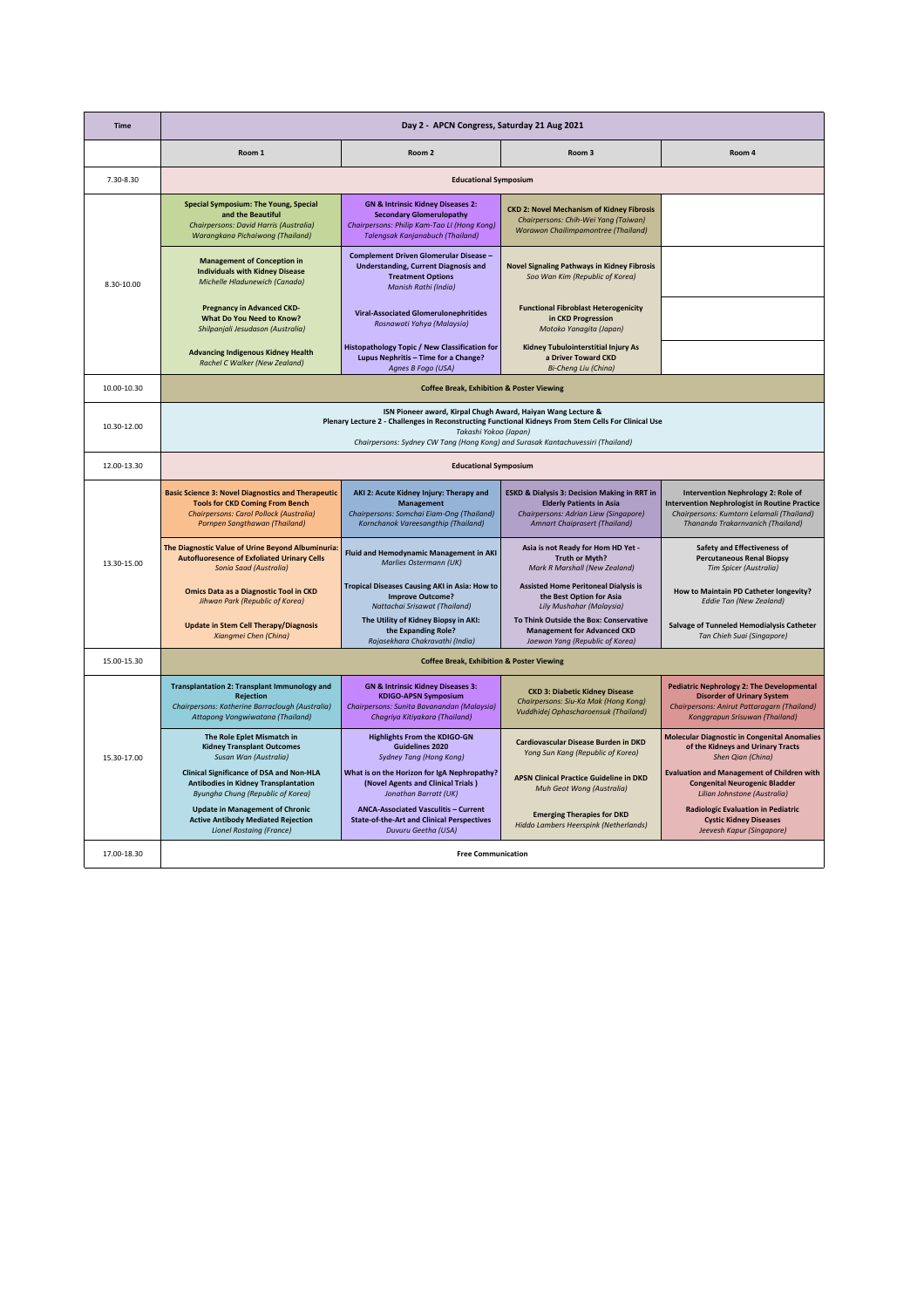| Time        |                                                                                                                                                                                        | Day 2 - APCN Congress, Saturday 21 Aug 2021                                                                                                                               |                                                                                                                                                                      |                                                                                                                                                                              |
|-------------|----------------------------------------------------------------------------------------------------------------------------------------------------------------------------------------|---------------------------------------------------------------------------------------------------------------------------------------------------------------------------|----------------------------------------------------------------------------------------------------------------------------------------------------------------------|------------------------------------------------------------------------------------------------------------------------------------------------------------------------------|
|             | Room 1                                                                                                                                                                                 | Room <sub>2</sub>                                                                                                                                                         | Room 3                                                                                                                                                               | Room 4                                                                                                                                                                       |
| 7.30-8.30   |                                                                                                                                                                                        | <b>Educational Symposium</b>                                                                                                                                              |                                                                                                                                                                      |                                                                                                                                                                              |
|             | <b>Special Symposium: The Young, Special</b><br>and the Beautiful<br>Chairpersons: David Harris (Australia)<br>Warangkana Pichaiwong (Thailand)                                        | <b>GN &amp; Intrinsic Kidney Diseases 2:</b><br><b>Secondary Glomerulopathy</b><br>Chairpersons: Philip Kam-Tao LI (Hong Kong)<br><b>Talengsak Kanjanabuch (Thailand)</b> | <b>CKD 2: Novel Mechanism of Kidney Fibrosis</b><br>Chairpersons: Chih-Wei Yang (Taiwan)<br>Worawon Chailimpamontree (Thailand)                                      |                                                                                                                                                                              |
| 8.30-10.00  | <b>Management of Conception in</b><br><b>Individuals with Kidney Disease</b><br>Michelle Hladunewich (Canada)                                                                          | <b>Complement Driven Glomerular Disease -</b><br><b>Understanding, Current Diagnosis and</b><br><b>Treatment Options</b><br>Manish Rathi (India)                          | <b>Novel Signaling Pathways in Kidney Fibrosis</b><br>Soo Wan Kim (Republic of Korea)                                                                                |                                                                                                                                                                              |
|             | Pregnancy in Advanced CKD-<br>What Do You Need to Know?<br>Shilpanjali Jesudason (Australia)                                                                                           | <b>Viral-Associated Glomerulonephritides</b><br>Rosnawati Yahya (Malaysia)                                                                                                | <b>Functional Fibroblast Heterogenicity</b><br>in CKD Progression<br>Motoko Yanagita (Japan)                                                                         |                                                                                                                                                                              |
|             | <b>Advancing Indigenous Kidney Health</b><br>Rachel C Walker (New Zealand)                                                                                                             | Histopathology Topic / New Classification for<br>Lupus Nephritis - Time for a Change?<br>Agnes B Fogo (USA)                                                               | Kidney Tubulointerstitial Injury As<br>a Driver Toward CKD<br>Bi-Cheng Liu (China)                                                                                   |                                                                                                                                                                              |
| 10.00-10.30 |                                                                                                                                                                                        | <b>Coffee Break, Exhibition &amp; Poster Viewing</b>                                                                                                                      |                                                                                                                                                                      |                                                                                                                                                                              |
| 10.30-12.00 |                                                                                                                                                                                        | ISN Pioneer award, Kirpal Chugh Award, Haiyan Wang Lecture &<br>Takashi Yokoo (Japan)<br>Chairpersons: Sydney CW Tang (Hong Kong) and Surasak Kantachuvessiri (Thailand)  | Plenary Lecture 2 - Challenges in Reconstructing Functional Kidneys From Stem Cells For Clinical Use                                                                 |                                                                                                                                                                              |
| 12.00-13.30 |                                                                                                                                                                                        | <b>Educational Symposium</b>                                                                                                                                              |                                                                                                                                                                      |                                                                                                                                                                              |
|             | <b>Basic Science 3: Novel Diagnostics and Therapeutic</b><br><b>Tools for CKD Coming From Bench</b><br><b>Chairpersons: Carol Pollock (Australia)</b><br>Pornpen Sangthawan (Thailand) | AKI 2: Acute Kidney Injury: Therapy and<br><b>Management</b><br>Chairpersons: Somchai Eiam-Ong (Thailand)<br>Kornchanok Vareesangthip (Thailand)                          | <b>ESKD &amp; Dialysis 3: Decision Making in RRT in</b><br><b>Elderly Patients in Asia</b><br>Chairpersons: Adrian Liew (Singapore)<br>Amnart Chaiprasert (Thailand) | Intervention Nephrology 2: Role of<br><b>Intervention Nephrologist in Routine Practice</b><br>Chairpersons: Kumtorn Lelamali (Thailand)<br>Thananda Trakarnvanich (Thailand) |
| 13.30-15.00 | The Diagnostic Value of Urine Beyond Albuminuria:<br><b>Autofluoresence of Exfoliated Urinary Cells</b><br><b>Sonia Saad (Australia)</b>                                               | Fluid and Hemodynamic Management in AKI<br>Marlies Ostermann (UK)                                                                                                         | Asia is not Ready for Hom HD Yet -<br>Truth or Myth?<br>Mark R Marshall (New Zealand)                                                                                | Safety and Effectiveness of<br><b>Percutaneous Renal Biopsy</b><br>Tim Spicer (Australia)                                                                                    |
|             | <b>Omics Data as a Diagnostic Tool in CKD</b><br>Jihwan Park (Republic of Korea)                                                                                                       | Tropical Diseases Causing AKI in Asia: How to<br><b>Improve Outcome?</b><br>Nattachai Srisawat (Thailand)                                                                 | <b>Assisted Home Peritoneal Dialysis is</b><br>the Best Option for Asia<br>Lily Mushahar (Malaysia)                                                                  | How to Maintain PD Catheter longevity?<br>Eddie Tan (New Zealand)                                                                                                            |
|             | <b>Update in Stem Cell Therapy/Diagnosis</b><br>Xiangmei Chen (China)                                                                                                                  | The Utility of Kidney Biopsy in AKI:<br>the Expanding Role?<br>Rajasekhara Chakravathi (India)                                                                            | To Think Outside the Box: Conservative<br><b>Management for Advanced CKD</b><br>Jaewon Yang (Republic of Korea)                                                      | Salvage of Tunneled Hemodialysis Catheter<br>Tan Chieh Suai (Singapore)                                                                                                      |
| 15.00-15.30 |                                                                                                                                                                                        | <b>Coffee Break, Exhibition &amp; Poster Viewing</b>                                                                                                                      |                                                                                                                                                                      |                                                                                                                                                                              |
|             | <b>Transplantation 2: Transplant Immunology and</b><br><b>Rejection</b><br>Chairpersons: Katherine Barraclough (Australia)<br>Attapong Vongwiwatana (Thailand)                         | <b>GN &amp; Intrinsic Kidney Diseases 3:</b><br><b>KDIGO-APSN Symposium</b><br>Chairpersons: Sunita Bavanandan (Malaysia)<br>Chagriya Kitiyakara (Thailand)               | <b>CKD 3: Diabetic Kidney Disease</b><br>Chairpersons: Siu-Ka Mak (Hong Kong)<br>Vuddhidej Ophascharoensuk (Thailand)                                                | <b>Pediatric Nephrology 2: The Developmental</b><br><b>Disorder of Urinary System</b><br>Chairpersons: Anirut Pattaragarn (Thailand)<br>Konggrapun Srisuwan (Thailand)       |
| 15.30-17.00 | The Role Eplet Mismatch in<br><b>Kidney Transplant Outcomes</b><br>Susan Wan (Australia)                                                                                               | <b>Highlights From the KDIGO-GN</b><br>Guidelines 2020<br><b>Sydney Tang (Hong Kong)</b>                                                                                  | Cardiovascular Disease Burden in DKD<br>Yong Sun Kang (Republic of Korea)                                                                                            | <b>Molecular Diagnostic in Congenital Anomalies</b><br>of the Kidneys and Urinary Tracts<br>Shen Qian (China)                                                                |
|             | <b>Clinical Significance of DSA and Non-HLA</b><br><b>Antibodies in Kidney Transplantation</b><br>Byungha Chung (Republic of Korea)                                                    | What is on the Horizon for IgA Nephropathy?<br>(Novel Agents and Clinical Trials)<br>Jonathan Barratt (UK)                                                                | <b>APSN Clinical Practice Guideline in DKD</b><br>Muh Geot Wong (Australia)                                                                                          | <b>Evaluation and Management of Children with</b><br><b>Congenital Neurogenic Bladder</b><br>Lilian Johnstone (Australia)                                                    |
|             | <b>Update in Management of Chronic</b><br><b>Active Antibody Mediated Rejection</b><br><b>Lionel Rostaing (France)</b>                                                                 | <b>ANCA-Associated Vasculitis - Current</b><br><b>State-of-the-Art and Clinical Perspectives</b><br>Duvuru Geetha (USA)                                                   | <b>Emerging Therapies for DKD</b><br>Hiddo Lambers Heerspink (Netherlands)                                                                                           | <b>Radiologic Evaluation in Pediatric</b><br><b>Cystic Kidney Diseases</b><br>Jeevesh Kapur (Singapore)                                                                      |
| 17.00-18.30 |                                                                                                                                                                                        | <b>Free Communication</b>                                                                                                                                                 |                                                                                                                                                                      |                                                                                                                                                                              |